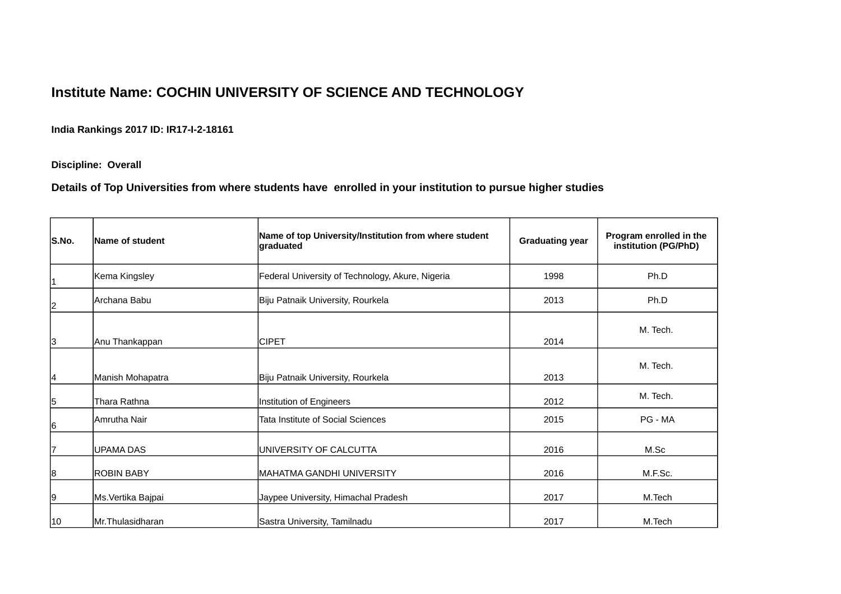## **Institute Name: COCHIN UNIVERSITY OF SCIENCE AND TECHNOLOGY**

**India Rankings 2017 ID: IR17-I-2-18161**

**Discipline: Overall**

**Details of Top Universities from where students have enrolled in your institution to pursue higher studies**

| S.No.        | Name of student    | Name of top University/Institution from where student<br>graduated | <b>Graduating year</b> | Program enrolled in the<br>institution (PG/PhD) |
|--------------|--------------------|--------------------------------------------------------------------|------------------------|-------------------------------------------------|
| 1            | Kema Kingsley      | Federal University of Technology, Akure, Nigeria                   | 1998                   | Ph.D                                            |
| 2            | Archana Babu       | Biju Patnaik University, Rourkela                                  | 2013                   | Ph.D                                            |
| 3            | Anu Thankappan     | <b>CIPET</b>                                                       | 2014                   | M. Tech.                                        |
| 14           | Manish Mohapatra   | Biju Patnaik University, Rourkela                                  | 2013                   | M. Tech.                                        |
| 15           | Thara Rathna       | Institution of Engineers                                           | 2012                   | M. Tech.                                        |
| 16           | Amrutha Nair       | <b>Tata Institute of Social Sciences</b><br>2015                   |                        | PG - MA                                         |
| 17           | lUPAMA DAS         | IUNIVERSITY OF CALCUTTA<br>2016                                    |                        | M.Sc                                            |
| 8            | <b>ROBIN BABY</b>  | İMAHATMA GANDHI UNIVERSITY<br>2016<br>M.F.Sc.                      |                        |                                                 |
| 19           | Ms. Vertika Bajpai | Jaypee University, Himachal Pradesh                                | 2017                   | M.Tech                                          |
| $ 10\rangle$ | Mr.Thulasidharan   | 2017<br>M.Tech<br>Sastra University, Tamilnadu                     |                        |                                                 |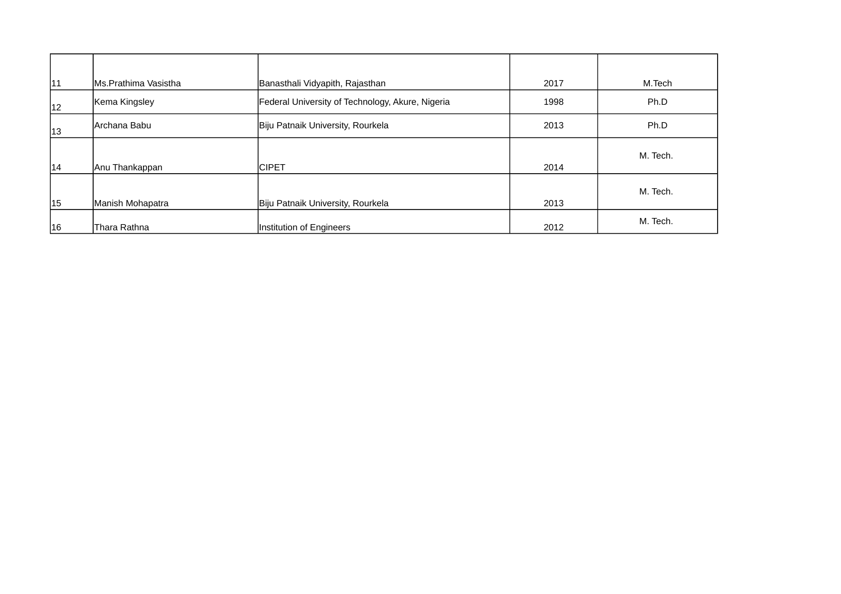| 11 | Ms.Prathima Vasistha | Banasthali Vidyapith, Rajasthan                  | 2017 | M.Tech   |
|----|----------------------|--------------------------------------------------|------|----------|
| 12 | Kema Kingsley        | Federal University of Technology, Akure, Nigeria | 1998 | Ph.D     |
| 13 | Archana Babu         | Biju Patnaik University, Rourkela                | 2013 | Ph.D     |
| 14 | Anu Thankappan       | <b>ICIPET</b>                                    | 2014 | M. Tech. |
| 15 | Manish Mohapatra     | Biju Patnaik University, Rourkela                | 2013 | M. Tech. |
| 16 | Thara Rathna         | Institution of Engineers                         | 2012 | M. Tech. |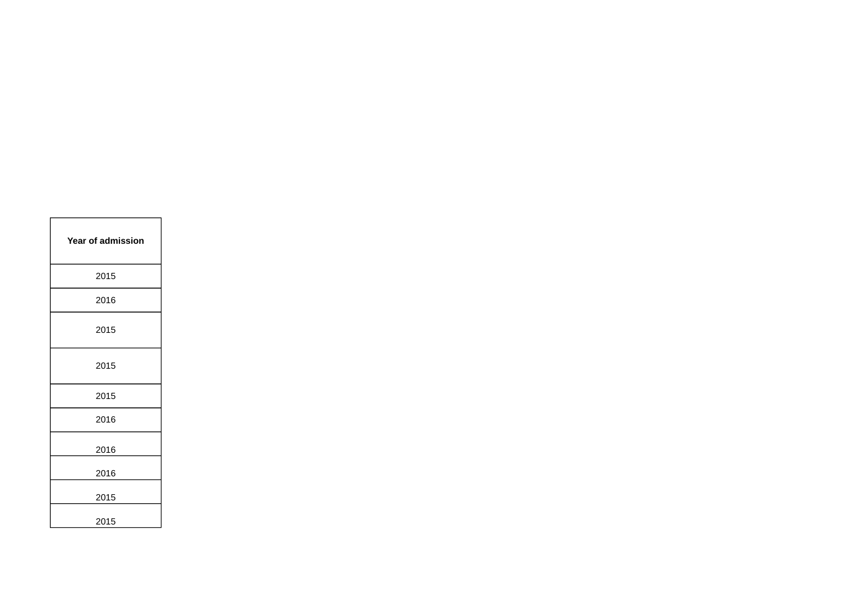| <b>Year of admission</b> |
|--------------------------|
| 2015                     |
| 2016                     |
| 2015                     |
| 2015                     |
| 2015                     |
| 2016                     |
| 2016                     |
| 2016                     |
| 2015                     |
| 2015                     |